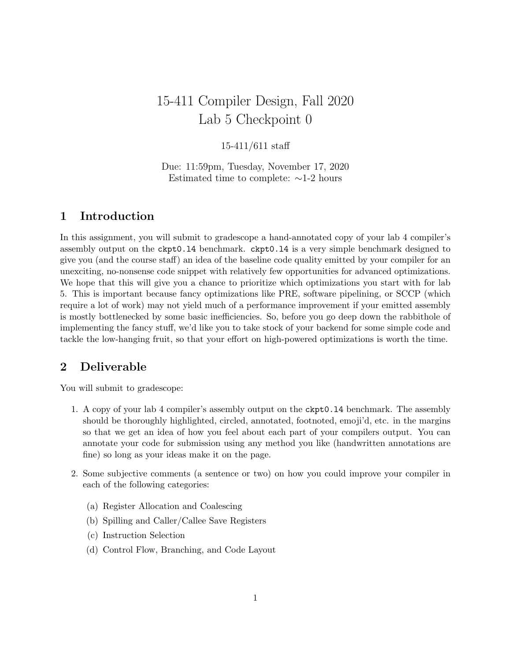# 15-411 Compiler Design, Fall 2020 Lab 5 Checkpoint 0

#### 15-411/611 staff

Due: 11:59pm, Tuesday, November 17, 2020 Estimated time to complete: ∼1-2 hours

## 1 Introduction

In this assignment, you will submit to gradescope a hand-annotated copy of your lab 4 compiler's assembly output on the ckpt0.l4 benchmark. ckpt0.l4 is a very simple benchmark designed to give you (and the course staff) an idea of the baseline code quality emitted by your compiler for an unexciting, no-nonsense code snippet with relatively few opportunities for advanced optimizations. We hope that this will give you a chance to prioritize which optimizations you start with for lab 5. This is important because fancy optimizations like PRE, software pipelining, or SCCP (which require a lot of work) may not yield much of a performance improvement if your emitted assembly is mostly bottlenecked by some basic inefficiencies. So, before you go deep down the rabbithole of implementing the fancy stuff, we'd like you to take stock of your backend for some simple code and tackle the low-hanging fruit, so that your effort on high-powered optimizations is worth the time.

#### 2 Deliverable

You will submit to gradescope:

- 1. A copy of your lab 4 compiler's assembly output on the ckpt0.l4 benchmark. The assembly should be thoroughly highlighted, circled, annotated, footnoted, emoji'd, etc. in the margins so that we get an idea of how you feel about each part of your compilers output. You can annotate your code for submission using any method you like (handwritten annotations are fine) so long as your ideas make it on the page.
- 2. Some subjective comments (a sentence or two) on how you could improve your compiler in each of the following categories:
	- (a) Register Allocation and Coalescing
	- (b) Spilling and Caller/Callee Save Registers
	- (c) Instruction Selection
	- (d) Control Flow, Branching, and Code Layout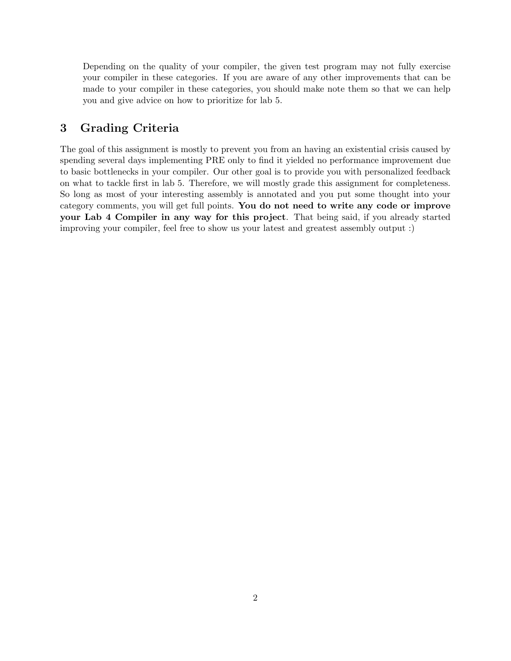Depending on the quality of your compiler, the given test program may not fully exercise your compiler in these categories. If you are aware of any other improvements that can be made to your compiler in these categories, you should make note them so that we can help you and give advice on how to prioritize for lab 5.

## 3 Grading Criteria

The goal of this assignment is mostly to prevent you from an having an existential crisis caused by spending several days implementing PRE only to find it yielded no performance improvement due to basic bottlenecks in your compiler. Our other goal is to provide you with personalized feedback on what to tackle first in lab 5. Therefore, we will mostly grade this assignment for completeness. So long as most of your interesting assembly is annotated and you put some thought into your category comments, you will get full points. You do not need to write any code or improve your Lab 4 Compiler in any way for this project. That being said, if you already started improving your compiler, feel free to show us your latest and greatest assembly output :)